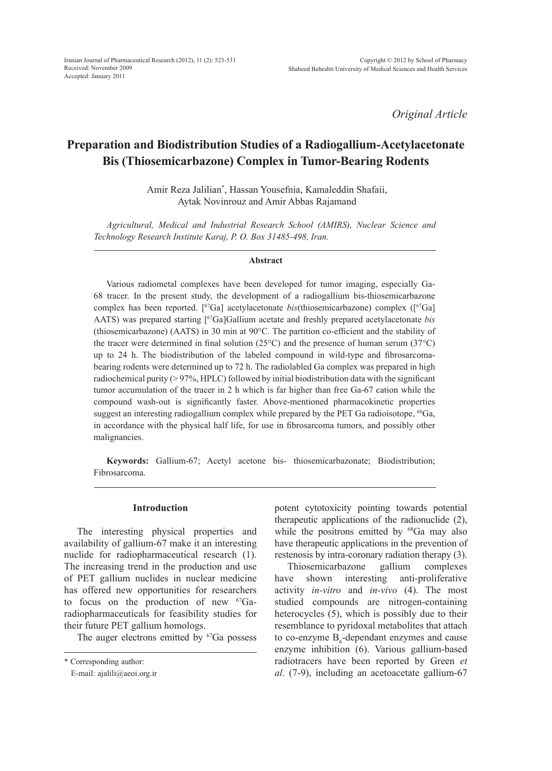*Original Article*

# **Preparation and Biodistribution Studies of a Radiogallium-Acetylacetonate Bis (Thiosemicarbazone) Complex in Tumor-Bearing Rodents**

Amir Reza Jalilian\* , Hassan Yousefnia, Kamaleddin Shafaii, Aytak Novinrouz and Amir Abbas Rajamand

*Agricultural, Medical and Industrial Research School (AMIRS), Nuclear Science and Technology Research Institute Karaj, P. O. Box 31485-498, Iran.* 

#### **Abstract**

Various radiometal complexes have been developed for tumor imaging, especially Ga-68 tracer. In the present study, the development of a radiogallium bis-thiosemicarbazone complex has been reported. [ 67Ga] acetylacetonate *bis*(thiosemicarbazone) complex ([67Ga] AATS) was prepared starting [67Ga]Gallium acetate and freshly prepared acetylacetonate *bis*  (thiosemicarbazone) (AATS) in 30 min at 90°C. The partition co-efficient and the stability of the tracer were determined in final solution ( $25^{\circ}$ C) and the presence of human serum ( $37^{\circ}$ C) up to 24 h. The biodistribution of the labeled compound in wild-type and fibrosarcomabearing rodents were determined up to 72 h. The radiolabled Ga complex was prepared in high radiochemical purity  $(> 97\%, HPLC)$  followed by initial biodistribution data with the significant tumor accumulation of the tracer in 2 h which is far higher than free Ga-67 cation while the compound wash-out is significantly faster. Above-mentioned pharmacokinetic properties suggest an interesting radiogallium complex while prepared by the PET Ga radioisotope, <sup>68</sup>Ga, in accordance with the physical half life, for use in fibrosarcoma tumors, and possibly other malignancies.

**Keywords:** Gallium-67; Acetyl acetone bis- thiosemicarbazonate; Biodistribution; Fibrosarcoma.

#### **Introduction**

The interesting physical properties and availability of gallium-67 make it an interesting nuclide for radiopharmaceutical research (1). The increasing trend in the production and use of PET gallium nuclides in nuclear medicine has offered new opportunities for researchers to focus on the production of new <sup>67</sup>Garadiopharmaceuticals for feasibility studies for their future PET gallium homologs.

The auger electrons emitted by  ${}^{67}Ga$  possess

potent cytotoxicity pointing towards potential therapeutic applications of the radionuclide (2), while the positrons emitted by <sup>68</sup>Ga may also have therapeutic applications in the prevention of restenosis by intra-coronary radiation therapy (3).

Thiosemicarbazone gallium complexes have shown interesting anti-proliferative activity *in-vitro* and *in-vivo* (4). The most studied compounds are nitrogen-containing heterocycles (5), which is possibly due to their resemblance to pyridoxal metabolites that attach to co-enzyme  $B_6$ -dependant enzymes and cause enzyme inhibition (6). Various gallium-based radiotracers have been reported by Green *et al*. (7-9), including an acetoacetate gallium-67

<sup>\*</sup> Corresponding author:

E-mail: ajalili@aeoi.org.ir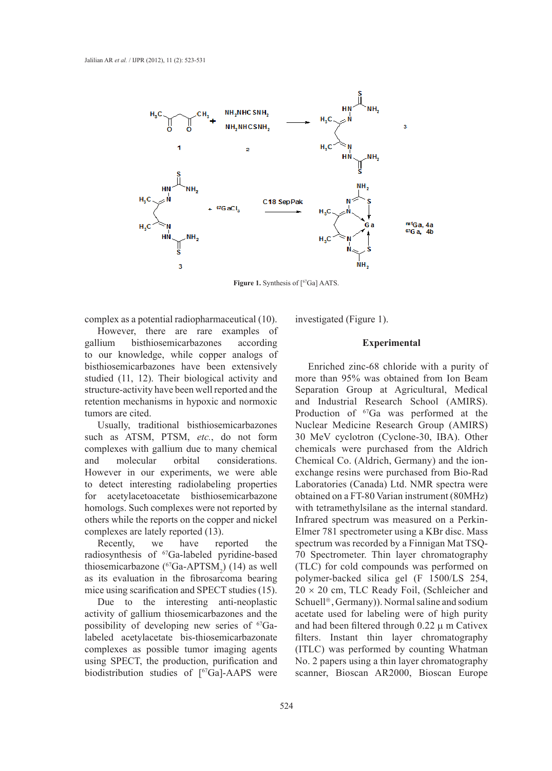

Figure 1. Synthesis of [<sup>67</sup>Ga] AATS.

complex as a potential radiopharmaceutical (10).

However, there are rare examples of gallium bisthiosemicarbazones according to our knowledge, while copper analogs of bisthiosemicarbazones have been extensively studied (11, 12). Their biological activity and structure-activity have been well reported and the retention mechanisms in hypoxic and normoxic tumors are cited.

Usually, traditional bisthiosemicarbazones such as ATSM, PTSM, *etc.*, do not form complexes with gallium due to many chemical and molecular orbital considerations. However in our experiments, we were able to detect interesting radiolabeling properties for acetylacetoacetate bisthiosemicarbazone homologs. Such complexes were not reported by others while the reports on the copper and nickel complexes are lately reported (13).

Recently, we have reported the radiosynthesis of <sup>67</sup>Ga-labeled pyridine-based thiosemicarbazone ( ${}^{67}Ga-APTSM_2$ ) (14) as well as its evaluation in the fibrosarcoma bearing mice using scarification and SPECT studies (15).

Due to the interesting anti-neoplastic activity of gallium thiosemicarbazones and the possibility of developing new series of <sup>67</sup>Galabeled acetylacetate bis-thiosemicarbazonate complexes as possible tumor imaging agents using SPECT, the production, purification and biodistribution studies of [<sup>67</sup>Ga]-AAPS were investigated (Figure 1).

#### **Experimental**

Enriched zinc-68 chloride with a purity of more than 95% was obtained from Ion Beam Separation Group at Agricultural, Medical and Industrial Research School (AMIRS). Production of <sup>67</sup>Ga was performed at the Nuclear Medicine Research Group (AMIRS) 30 MeV cyclotron (Cyclone-30, IBA). Other chemicals were purchased from the Aldrich Chemical Co. (Aldrich, Germany) and the ionexchange resins were purchased from Bio-Rad Laboratories (Canada) Ltd. NMR spectra were obtained on a FT-80 Varian instrument (80MHz) with tetramethylsilane as the internal standard. Infrared spectrum was measured on a Perkin-Elmer 781 spectrometer using a KBr disc. Mass spectrum was recorded by a Finnigan Mat TSQ-70 Spectrometer. Thin layer chromatography (TLC) for cold compounds was performed on polymer-backed silica gel (F 1500/LS 254,  $20 \times 20$  cm, TLC Ready Foil, (Schleicher and Schuell<sup>â</sup>, Germany)). Normal saline and sodium acetate used for labeling were of high purity and had been filtered through  $0.22 \mu$  m Cativex filters. Instant thin layer chromatography (ITLC) was performed by counting Whatman No. 2 papers using a thin layer chromatography scanner, Bioscan AR2000, Bioscan Europe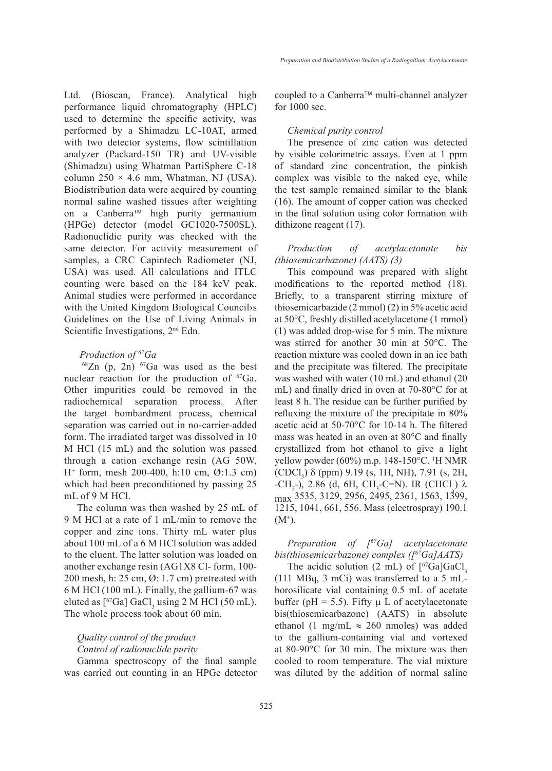Ltd. (Bioscan, France). Analytical high performance liquid chromatography (HPLC) used to determine the specific activity, was performed by a Shimadzu LC-10AT, armed with two detector systems, flow scintillation analyzer (Packard-150 TR) and UV-visible (Shimadzu) using Whatman PartiSphere C-18 column  $250 \times 4.6$  mm, Whatman, NJ (USA). Biodistribution data were acquired by counting normal saline washed tissues after weighting on a Canberra<sup> $\text{m}$ </sup> high purity germanium (HPGe) detector (model GC1020-7500SL). Radionuclidic purity was checked with the same detector. For activity measurement of samples, a CRC Capintech Radiometer (NJ, USA) was used. All calculations and ITLC counting were based on the 184 keV peak. Animal studies were performed in accordance with the United Kingdom Biological Council›s Guidelines on the Use of Living Animals in Scientific Investigations, 2<sup>nd</sup> Edn.

#### *Production of 67Ga*

 $68Zn$  (p, 2n)  $67Ga$  was used as the best nuclear reaction for the production of <sup>67</sup>Ga. Other impurities could be removed in the radiochemical separation process. After the target bombardment process, chemical separation was carried out in no-carrier-added form. The irradiated target was dissolved in 10 M HCl (15 mL) and the solution was passed through a cation exchange resin (AG 50W, H+ form, mesh 200-400, h:10 cm, Ø:1.3 cm) which had been preconditioned by passing 25 mL of 9 M HCl.

The column was then washed by 25 mL of 9 M HCl at a rate of 1 mL/min to remove the copper and zinc ions. Thirty mL water plus about 100 mL of a 6 M HCl solution was added to the eluent. The latter solution was loaded on another exchange resin (AG1X8 Cl- form, 100- 200 mesh, h: 25 cm, Ø: 1.7 cm) pretreated with 6 M HCl (100 mL). Finally, the gallium-67 was eluted as  $[{}^{67}Ga]$  GaCl<sub>3</sub> using 2 M HCl (50 mL). The whole process took about 60 min.

## *Quality control of the product Control of radionuclide purity*

Gamma spectroscopy of the final sample was carried out counting in an HPGe detector coupled to a Canberra™ multi-channel analyzer for 1000 sec.

#### *Chemical purity control*

The presence of zinc cation was detected by visible colorimetric assays. Even at 1 ppm of standard zinc concentration, the pinkish complex was visible to the naked eye, while the test sample remained similar to the blank (16). The amount of copper cation was checked in the final solution using color formation with dithizone reagent (17).

### *Production of acetylacetonate bis (thiosemicarbazone) (AATS) (3)*

This compound was prepared with slight modifications to the reported method (18). Briefly, to a transparent stirring mixture of thiosemicarbazide (2 mmol) (2) in 5% acetic acid at 50°C, freshly distilled acetylacetone (1 mmol) (1) was added drop-wise for 5 min. The mixture was stirred for another 30 min at 50°C. The reaction mixture was cooled down in an ice bath and the precipitate was filtered. The precipitate was washed with water (10 mL) and ethanol (20 mL) and finally dried in oven at 70-80°C for at least 8 h. The residue can be further purified by refluxing the mixture of the precipitate in 80% acetic acid at 50-70°C for 10-14 h. The filtered mass was heated in an oven at 80°C and finally crystallized from hot ethanol to give a light yellow powder (60%) m.p. 148-150°C. 1 H NMR  $(CDCI<sub>3</sub>)$   $\delta$  (ppm) 9.19 (s, 1H, NH), 7.91 (s, 2H, -CH<sub>2</sub>-), 2.86 (d, 6H, CH<sub>3</sub>-C=N). IR (CHCl)  $\lambda$ <br>2525, 2120, 2056, 2405, 2261, 1562, 1300 max 3535, 3129, 2956, 2495, 2361, 1563, 1399, 1215, 1041, 661, 556. Mass (electrospray) 190.1  $(M^{\scriptscriptstyle +})$ .

## *Preparation of [67Ga] acetylacetonate bis(thiosemicarbazone) complex ([67Ga]AATS)*

The acidic solution  $(2 \text{ mL})$  of  $[{}^{67}Ga]GaCl$ , (111 MBq, 3 mCi) was transferred to a 5 mLborosilicate vial containing 0.5 mL of acetate buffer ( $pH = 5.5$ ). Fifty  $\mu$  L of acetylacetonate bis(thiosemicarbazone) (AATS) in absolute ethanol (1 mg/mL  $\approx$  260 nmoles) was added to the gallium-containing vial and vortexed at 80-90°C for 30 min. The mixture was then cooled to room temperature. The vial mixture was diluted by the addition of normal saline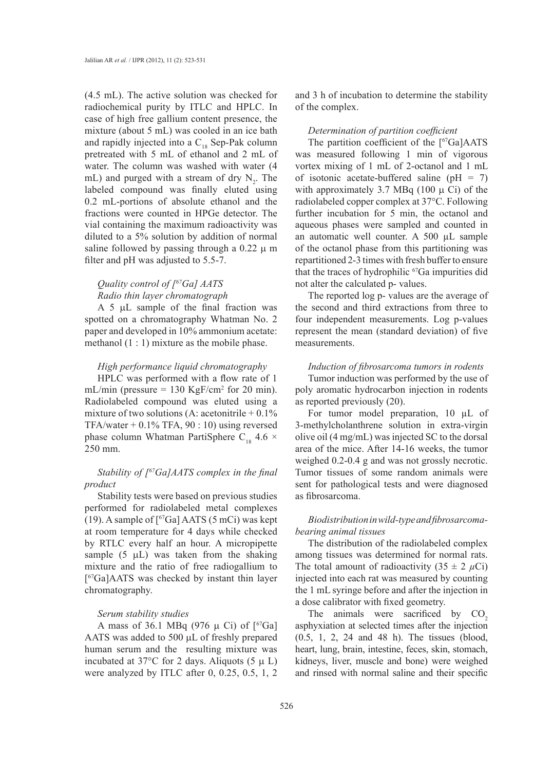(4.5 mL). The active solution was checked for radiochemical purity by ITLC and HPLC. In case of high free gallium content presence, the mixture (about 5 mL) was cooled in an ice bath and rapidly injected into a  $C_{18}$  Sep-Pak column pretreated with 5 mL of ethanol and 2 mL of water. The column was washed with water (4 mL) and purged with a stream of dry  $N_2$ . The labeled compound was finally eluted using 0.2 mL-portions of absolute ethanol and the fractions were counted in HPGe detector. The vial containing the maximum radioactivity was diluted to a 5% solution by addition of normal saline followed by passing through a  $0.22 \mu$  m filter and pH was adjusted to 5.5-7.

## *Quality control of [67Ga] AATS Radio thin layer chromatograph*

A 5  $\mu$ L sample of the final fraction was spotted on a chromatography Whatman No. 2 paper and developed in 10% ammonium acetate: methanol  $(1:1)$  mixture as the mobile phase.

#### *High performance liquid chromatography*

HPLC was performed with a flow rate of 1 mL/min (pressure  $= 130$  KgF/cm<sup>2</sup> for 20 min). Radiolabeled compound was eluted using a mixture of two solutions (A: acetonitrile  $+0.1\%$ TFA/water  $+$  0.1% TFA, 90 : 10) using reversed phase column Whatman PartiSphere C<sub>18</sub> 4.6  $\times$ 250 mm.

## *Stability of [67Ga]AATS complex in the final product*

Stability tests were based on previous studies performed for radiolabeled metal complexes (19). A sample of  $[{}^{67}Ga]$  AATS (5 mCi) was kept at room temperature for 4 days while checked by RTLC every half an hour. A micropipette sample  $(5 \mu L)$  was taken from the shaking mixture and the ratio of free radiogallium to [67Ga]AATS was checked by instant thin layer chromatography.

#### *Serum stability studies*

A mass of 36.1 MBq (976  $\mu$  Ci) of [<sup>67</sup>Ga] AATS was added to 500 µL of freshly prepared human serum and the resulting mixture was incubated at 37°C for 2 days. Aliquots (5  $\mu$  L) were analyzed by ITLC after 0, 0.25, 0.5, 1, 2

and 3 h of incubation to determine the stability of the complex.

#### *Determination of partition coefficient*

The partition coefficient of the  $[67Ga]AATS$ was measured following 1 min of vigorous vortex mixing of 1 mL of 2-octanol and 1 mL of isotonic acetate-buffered saline ( $pH = 7$ ) with approximately 3.7 MBq (100  $\mu$  Ci) of the radiolabeled copper complex at 37°C. Following further incubation for 5 min, the octanol and aqueous phases were sampled and counted in an automatic well counter. A 500 µL sample of the octanol phase from this partitioning was repartitioned 2-3 times with fresh buffer to ensure that the traces of hydrophilic  $^{67}Ga$  impurities did not alter the calculated p- values.

The reported log p- values are the average of the second and third extractions from three to four independent measurements. Log p-values represent the mean (standard deviation) of five measurements.

### *Induction of fibrosarcoma tumors in rodents*

Tumor induction was performed by the use of poly aromatic hydrocarbon injection in rodents as reported previously (20).

For tumor model preparation, 10 µL of 3-methylcholanthrene solution in extra-virgin olive oil (4 mg/mL) was injected SC to the dorsal area of the mice. After 14-16 weeks, the tumor weighed 0.2-0.4 g and was not grossly necrotic. Tumor tissues of some random animals were sent for pathological tests and were diagnosed as fibrosarcoma.

## *Biodistribution in wild-type and fibrosarcomabearing animal tissues*

The distribution of the radiolabeled complex among tissues was determined for normal rats. The total amount of radioactivity  $(35 \pm 2 \mu Ci)$ injected into each rat was measured by counting the 1 mL syringe before and after the injection in a dose calibrator with fixed geometry.

The animals were sacrificed by  $CO<sub>2</sub>$ asphyxiation at selected times after the injection (0.5, 1, 2, 24 and 48 h). The tissues (blood, heart, lung, brain, intestine, feces, skin, stomach, kidneys, liver, muscle and bone) were weighed and rinsed with normal saline and their specific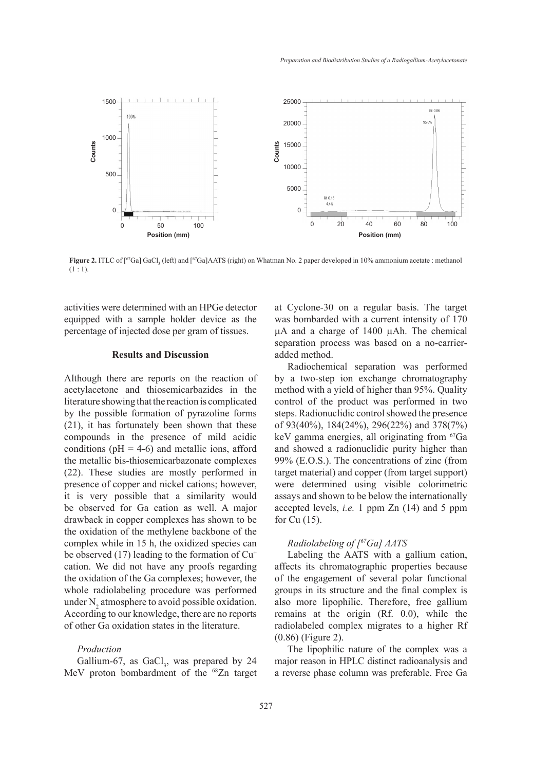

**Figure 2.** ITLC of [<sup>67</sup>Ga] GaCl<sub>3</sub> (left) and [<sup>67</sup>Ga]AATS (right) on Whatman No. 2 paper developed in 10% ammonium acetate : methanol  $(1:1).$ 

activities were determined with an HPGe detector equipped with a sample holder device as the percentage of injected dose per gram of tissues.

#### **Results and Discussion**

Although there are reports on the reaction of acetylacetone and thiosemicarbazides in the literature showing that the reaction is complicated by the possible formation of pyrazoline forms (21), it has fortunately been shown that these compounds in the presence of mild acidic conditions ( $pH = 4-6$ ) and metallic ions, afford the metallic bis-thiosemicarbazonate complexes (22). These studies are mostly performed in presence of copper and nickel cations; however, it is very possible that a similarity would be observed for Ga cation as well. A major drawback in copper complexes has shown to be the oxidation of the methylene backbone of the complex while in 15 h, the oxidized species can be observed (17) leading to the formation of  $Cu<sup>+</sup>$ cation. We did not have any proofs regarding the oxidation of the Ga complexes; however, the whole radiolabeling procedure was performed under  $N_2$  atmosphere to avoid possible oxidation. According to our knowledge, there are no reports of other Ga oxidation states in the literature.

#### *Production*

Gallium-67, as  $GaCl<sub>3</sub>$ , was prepared by 24 MeV proton bombardment of the <sup>68</sup>Zn target

at Cyclone-30 on a regular basis. The target was bombarded with a current intensity of 170  $\mu$ A and a charge of 1400  $\mu$ Ah. The chemical separation process was based on a no-carrieradded method.

Radiochemical separation was performed by a two-step ion exchange chromatography method with a yield of higher than 95%. Quality control of the product was performed in two steps. Radionuclidic control showed the presence of 93(40%), 184(24%), 296(22%) and 378(7%) keV gamma energies, all originating from <sup>67</sup>Ga and showed a radionuclidic purity higher than 99% (E.O.S.). The concentrations of zinc (from target material) and copper (from target support) were determined using visible colorimetric assays and shown to be below the internationally accepted levels, *i.e.* 1 ppm Zn (14) and 5 ppm for Cu (15).

## *Radiolabeling of [67Ga] AATS*

Labeling the AATS with a gallium cation, affects its chromatographic properties because of the engagement of several polar functional groups in its structure and the final complex is also more lipophilic. Therefore, free gallium remains at the origin (Rf. 0.0), while the radiolabeled complex migrates to a higher Rf (0.86) (Figure 2).

The lipophilic nature of the complex was a major reason in HPLC distinct radioanalysis and a reverse phase column was preferable. Free Ga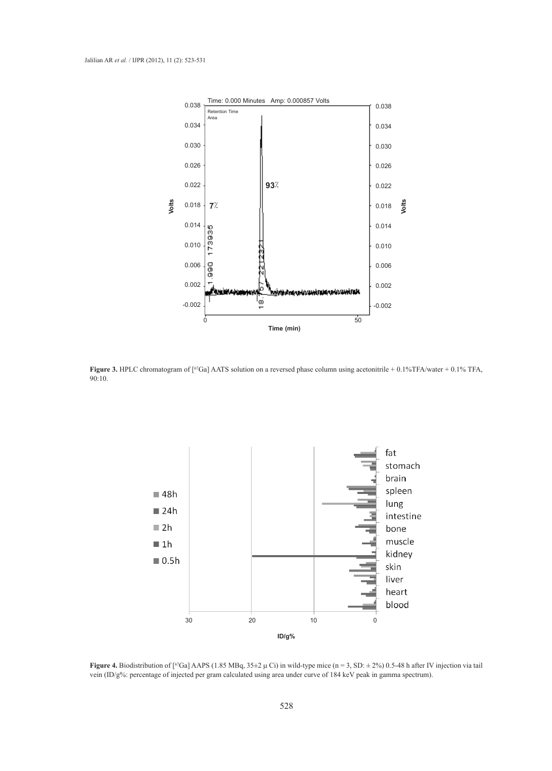

**Figure 3.** HPLC chromatogram of [<sup>67</sup>Ga] AATS solution on a reversed phase column using acetonitrile + 0.1%TFA/water + 0.1% TFA, 90:10.



**Figure 4.** Biodistribution of [<sup>67</sup>Ga] AAPS (1.85 MBq,  $35\pm2 \mu$  Ci) in wild-type mice (n = 3, SD:  $\pm 2\%$ ) 0.5-48 h after IV injection via tail vein (ID/g%: percentage of injected per gram calculated using area under curve of 184 keV peak in gamma spectrum).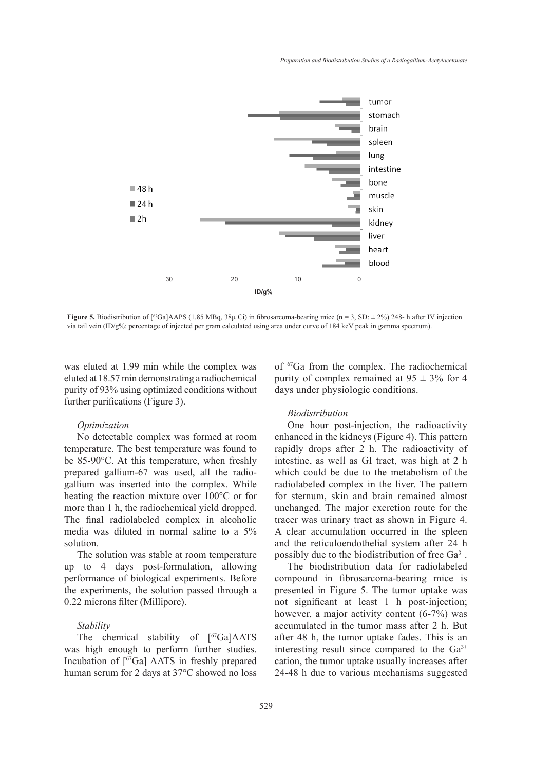

**Figure 5.** Biodistribution of  $[^{67}Ga]$ AAPS (1.85 MBq, 38µ Ci) in fibrosarcoma-bearing mice (n = 3, SD:  $\pm$  2%) 248- h after IV injection via tail vein (ID/g%: percentage of injected per gram calculated using area under curve of 184 keV peak in gamma spectrum).

was eluted at 1.99 min while the complex was eluted at 18.57 min demonstrating a radiochemical purity of 93% using optimized conditions without further purifications (Figure 3).

#### *Optimization*

No detectable complex was formed at room temperature. The best temperature was found to be 85-90°C. At this temperature, when freshly prepared gallium-67 was used, all the radiogallium was inserted into the complex. While heating the reaction mixture over 100°C or for more than 1 h, the radiochemical yield dropped. The final radiolabeled complex in alcoholic media was diluted in normal saline to a 5% solution.

The solution was stable at room temperature up to 4 days post-formulation, allowing performance of biological experiments. Before the experiments, the solution passed through a 0.22 microns filter (Millipore).

#### *Stability*

The chemical stability of [<sup>67</sup>Ga]AATS was high enough to perform further studies. Incubation of [67Ga] AATS in freshly prepared human serum for 2 days at 37°C showed no loss of 67Ga from the complex. The radiochemical purity of complex remained at  $95 \pm 3\%$  for 4 days under physiologic conditions.

#### *Biodistribution*

One hour post-injection, the radioactivity enhanced in the kidneys (Figure 4). This pattern rapidly drops after 2 h. The radioactivity of intestine, as well as GI tract, was high at 2 h which could be due to the metabolism of the radiolabeled complex in the liver. The pattern for sternum, skin and brain remained almost unchanged. The major excretion route for the tracer was urinary tract as shown in Figure 4. A clear accumulation occurred in the spleen and the reticuloendothelial system after 24 h possibly due to the biodistribution of free  $Ga^{3+}$ .

The biodistribution data for radiolabeled compound in fibrosarcoma-bearing mice is presented in Figure 5. The tumor uptake was not significant at least 1 h post-injection; however, a major activity content (6-7%) was accumulated in the tumor mass after 2 h. But after 48 h, the tumor uptake fades. This is an interesting result since compared to the  $Ga<sup>3+</sup>$ cation, the tumor uptake usually increases after 24-48 h due to various mechanisms suggested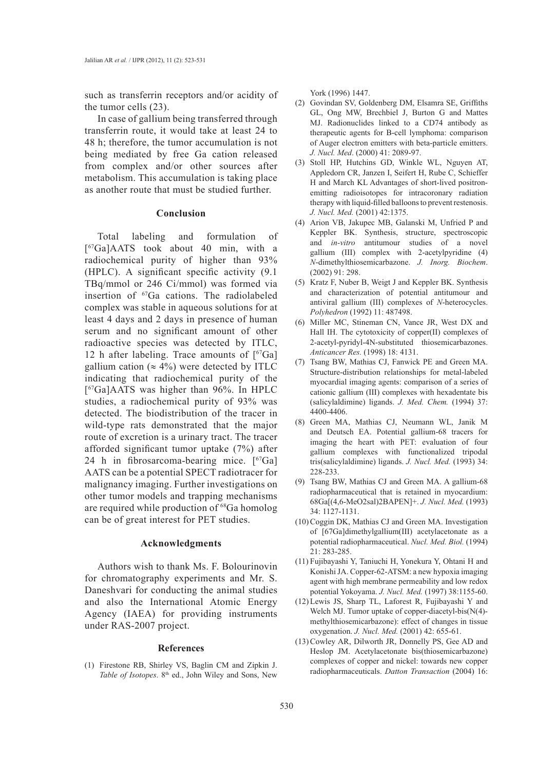such as transferrin receptors and/or acidity of the tumor cells (23).

In case of gallium being transferred through transferrin route, it would take at least 24 to 48 h; therefore, the tumor accumulation is not being mediated by free Ga cation released from complex and/or other sources after metabolism. This accumulation is taking place as another route that must be studied further.

#### **Conclusion**

Total labeling and formulation of [67Ga]AATS took about 40 min, with a radiochemical purity of higher than 93% (HPLC). A significant specific activity (9.1 TBq/mmol or 246 Ci/mmol) was formed via insertion of 67Ga cations. The radiolabeled complex was stable in aqueous solutions for at least 4 days and 2 days in presence of human serum and no significant amount of other radioactive species was detected by ITLC, 12 h after labeling. Trace amounts of  $[67Ga]$ gallium cation ( $\approx$  4%) were detected by ITLC indicating that radiochemical purity of the [67Ga]AATS was higher than 96%. In HPLC studies, a radiochemical purity of 93% was detected. The biodistribution of the tracer in wild-type rats demonstrated that the major route of excretion is a urinary tract. The tracer afforded significant tumor uptake (7%) after 24 h in fibrosarcoma-bearing mice.  $[67Ga]$ AATS can be a potential SPECT radiotracer for malignancy imaging. Further investigations on other tumor models and trapping mechanisms are required while production of <sup>68</sup>Ga homolog can be of great interest for PET studies.

## **Acknowledgments**

Authors wish to thank Ms. F. Bolourinovin for chromatography experiments and Mr. S. Daneshvari for conducting the animal studies and also the International Atomic Energy Agency (IAEA) for providing instruments under RAS-2007 project.

#### **References**

Firestone RB, Shirley VS, Baglin CM and Zipkin J. (1) Table of Isotopes. 8<sup>th</sup> ed., John Wiley and Sons, New

York (1996) 1447.

- (2) Govindan SV, Goldenberg DM, Elsamra SE, Griffiths GL, Ong MW, Brechbiel J, Burton G and Mattes MJ. Radionuclides linked to a CD74 antibody as therapeutic agents for B-cell lymphoma: comparison of Auger electron emitters with beta-particle emitters. *J. Nucl. Med*. (2000) 41: 2089-97.
- (3) Stoll HP, Hutchins GD, Winkle WL, Nguyen AT, Appledorn CR, Janzen I, Seifert H, Rube C, Schieffer H and March KL Advantages of short-lived positronemitting radioisotopes for intracoronary radiation therapy with liquid-filled balloons to prevent restenosis. *J. Nucl. Med.* (2001) 42:1375.
- (4) Arion VB, Jakupec MB, Galanski M, Unfried P and Keppler BK. Synthesis, structure, spectroscopic and *in-vitro* antitumour studies of a novel gallium (III) complex with 2-acetylpyridine (4) *N*-dimethylthiosemicarbazone. *J. Inorg. Biochem*. (2002) 91: 298.
- $(5)$  Kratz F, Nuber B, Weigt J and Keppler BK. Synthesis and characterization of potential antitumour and antiviral gallium (III) complexes of *N*-heterocycles. *Polyhedron* (1992) 11: 487498.
- (6) Miller MC, Stineman CN, Vance JR, West DX and Hall IH. The cytotoxicity of copper(II) complexes of 2-acetyl-pyridyl-4N-substituted thiosemicarbazones. *Anticancer Res.* (1998) 18: 4131.
- (7) Tsang BW, Mathias CJ, Fanwick PE and Green MA. Structure-distribution relationships for metal-labeled myocardial imaging agents: comparison of a series of cationic gallium (III) complexes with hexadentate bis (salicylaldimine) ligands. *J. Med. Chem.* (1994) 37: 4400-4406.
- Green MA, Mathias CJ, Neumann WL, Janik M (8) and Deutsch EA. Potential gallium-68 tracers for imaging the heart with PET: evaluation of four gallium complexes with functionalized tripodal tris(salicylaldimine) ligands. *J. Nucl. Med.* (1993) 34: 228-233.
- Tsang BW, Mathias CJ and Green MA. A gallium-68 (9) radiopharmaceutical that is retained in myocardium: 68Ga[(4,6-MeO2sal)2BAPEN]+. *J. Nucl. Med.* (1993) 34: 1127-1131.
- (10) Coggin DK, Mathias CJ and Green MA. Investigation of [67Ga]dimethylgallium(III) acetylacetonate as a potential radiopharmaceutical. *Nucl. Med. Biol.* (1994) 21: 283-285.
- Fujibayashi Y, Taniuchi H, Yonekura Y, Ohtani H and (11) Konishi JA. Copper-62-ATSM: a new hypoxia imaging agent with high membrane permeability and low redox potential Yokoyama. *J. Nucl. Med.* (1997) 38:1155-60.
- Lewis JS, Sharp TL, Laforest R, Fujibayashi Y and (12) Welch MJ. Tumor uptake of copper-diacetyl-bis(N(4) methylthiosemicarbazone): effect of changes in tissue oxygenation. *J. Nucl. Med.* (2001) 42: 655-61.
- (13) Cowley AR, Dilworth JR, Donnelly PS, Gee AD and Heslop JM. Acetylacetonate bis(thiosemicarbazone) complexes of copper and nickel: towards new copper radiopharmaceuticals. *Datton Transaction* (2004) 16: